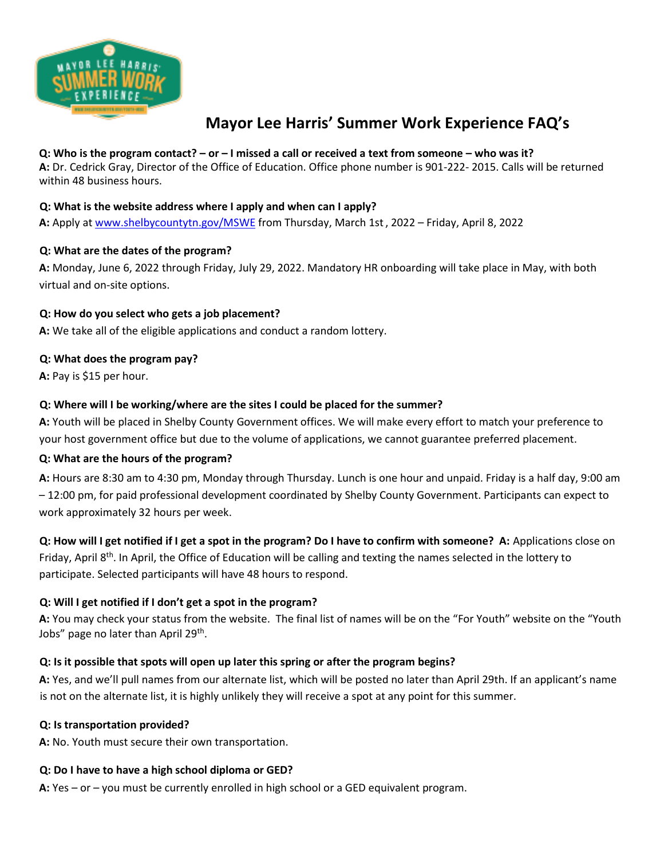

# **Mayor Lee Harris' Summer Work Experience FAQ's**

#### **Q: Who is the program contact? – or – I missed a call or received a text from someone – who was it?**

**A:** Dr. Cedrick Gray, Director of the Office of Education. Office phone number is 901-222- 2015. Calls will be returned within 48 business hours.

#### **Q: What is the website address where I apply and when can I apply?**

**A:** Apply at www.shelbycountytn.gov/MSWE from Thursday, March 1st, 2022 – Friday, April 8, 2022

#### **Q: What are the dates of the program?**

**A:** Monday, June 6, 2022 through Friday, July 29, 2022. Mandatory HR onboarding will take place in May, with both virtual and on-site options.

#### **Q: How do you select who gets a job placement?**

**A:** We take all of the eligible applications and conduct a random lottery.

#### **Q: What does the program pay?**

**A:** Pay is \$15 per hour.

#### **Q: Where will I be working/where are the sites I could be placed for the summer?**

**A:** Youth will be placed in Shelby County Government offices. We will make every effort to match your preference to your host government office but due to the volume of applications, we cannot guarantee preferred placement.

#### **Q: What are the hours of the program?**

**A:** Hours are 8:30 am to 4:30 pm, Monday through Thursday. Lunch is one hour and unpaid. Friday is a half day, 9:00 am – 12:00 pm, for paid professional development coordinated by Shelby County Government. Participants can expect to work approximately 32 hours per week.

**Q: How will I get notified if I get a spot in the program? Do I have to confirm with someone? A:** Applications close on Friday, April 8<sup>th</sup>. In April, the Office of Education will be calling and texting the names selected in the lottery to participate. Selected participants will have 48 hours to respond.

## **Q: Will I get notified if I don't get a spot in the program?**

**A:** You may check your status from the website. The final list of names will be on the "For Youth" website on the "Youth Jobs" page no later than April 29<sup>th</sup>.

#### **Q: Is it possible that spots will open up later this spring or after the program begins?**

**A:** Yes, and we'll pull names from our alternate list, which will be posted no later than April 29th. If an applicant's name is not on the alternate list, it is highly unlikely they will receive a spot at any point for this summer.

#### **Q: Is transportation provided?**

**A:** No. Youth must secure their own transportation.

#### **Q: Do I have to have a high school diploma or GED?**

**A:** Yes – or – you must be currently enrolled in high school or a GED equivalent program.